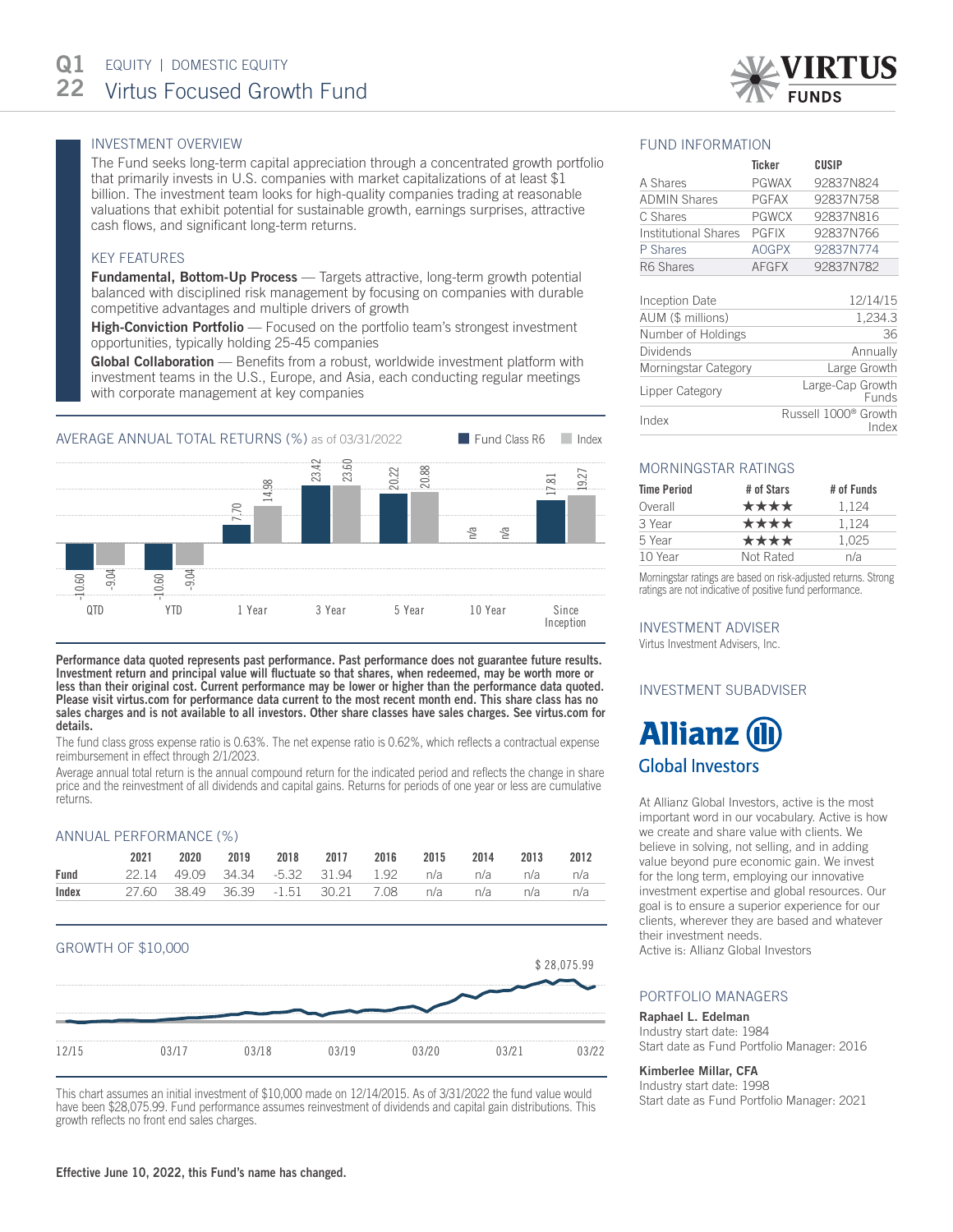# INVESTMENT OVERVIEW

The Fund seeks long-term capital appreciation through a concentrated growth portfolio that primarily invests in U.S. companies with market capitalizations of at least \$1 billion. The investment team looks for high-quality companies trading at reasonable valuations that exhibit potential for sustainable growth, earnings surprises, attractive cash flows, and significant long-term returns.

## KEY FEATURES

**Fundamental, Bottom-Up Process** — Targets attractive, long-term growth potential balanced with disciplined risk management by focusing on companies with durable competitive advantages and multiple drivers of growth

High-Conviction Portfolio — Focused on the portfolio team's strongest investment opportunities, typically holding 25-45 companies

Global Collaboration — Benefits from a robust, worldwide investment platform with investment teams in the U.S., Europe, and Asia, each conducting regular meetings with corporate management at key companies



Performance data quoted represents past performance. Past performance does not guarantee future results. Investment return and principal value will fluctuate so that shares, when redeemed, may be worth more or less than their original cost. Current performance may be lower or higher than the performance data quoted. Please visit virtus.com for performance data current to the most recent month end. This share class has no sales charges and is not available to all investors. Other share classes have sales charges. See virtus.com for details.

The fund class gross expense ratio is 0.63%. The net expense ratio is 0.62%, which reflects a contractual expense reimbursement in effect through 2/1/2023.

Average annual total return is the annual compound return for the indicated period and reflects the change in share price and the reinvestment of all dividends and capital gains. Returns for periods of one year or less are cumulative returns.

## ANNUAL PERFORMANCE (%)

|       | 2021 | 2020 | 2019 | 2018 2017 2016                                     |  | 2015 2014 2013 2012 |  |
|-------|------|------|------|----------------------------------------------------|--|---------------------|--|
| Fund  |      |      |      | 22.14 49.09 34.34 -5.32 31.94 1.92 n/a n/a n/a n/a |  |                     |  |
| Index |      |      |      | 27.60 38.49 36.39 -1.51 30.21 7.08 n/a n/a n/a n/a |  |                     |  |





This chart assumes an initial investment of \$10,000 made on 12/14/2015. As of 3/31/2022 the fund value would have been \$28,075.99. Fund performance assumes reinvestment of dividends and capital gain distributions. This growth reflects no front end sales charges.

## FUND INFORMATION

|                      | <b>Ticker</b> | CUSIP     |
|----------------------|---------------|-----------|
| A Shares             | <b>PGWAX</b>  | 92837N824 |
| <b>ADMIN Shares</b>  | <b>PGFAX</b>  | 92837N758 |
| C Shares             | <b>PGWCX</b>  | 92837N816 |
| Institutional Shares | <b>PGFIX</b>  | 92837N766 |
| P Shares             | <b>AOGPX</b>  | 92837N774 |
| R6 Shares            | <b>AFGFX</b>  | 92837N782 |
|                      |               |           |

| Inception Date       | 12/14/15                                  |
|----------------------|-------------------------------------------|
| AUM (\$ millions)    | 1,234.3                                   |
| Number of Holdings   | 36                                        |
| <b>Dividends</b>     | Annually                                  |
| Morningstar Category | Large Growth                              |
| Lipper Category      | Large-Cap Growth<br>Funds                 |
| Index                | Russell 1000 <sup>®</sup> Growth<br>Index |

# MORNINGSTAR RATINGS

| <b>Time Period</b> | # of Stars | # of Funds |
|--------------------|------------|------------|
| Overall            | ****       | 1.124      |
| 3 Year             | ****       | 1.124      |
| 5 Year             | ****       | 1.025      |
| 10 Year            | Not Rated  | n/a        |

Morningstar ratings are based on risk-adjusted returns. Strong ratings are not indicative of positive fund performance.

## INVESTMENT ADVISER

Virtus Investment Advisers, Inc.

## INVESTMENT SUBADVISER



At Allianz Global Investors, active is the most important word in our vocabulary. Active is how we create and share value with clients. We believe in solving, not selling, and in adding value beyond pure economic gain. We invest for the long term, employing our innovative investment expertise and global resources. Our goal is to ensure a superior experience for our clients, wherever they are based and whatever their investment needs.

Active is: Allianz Global Investors

## PORTFOLIO MANAGERS

#### Raphael L. Edelman

Industry start date: 1984 Start date as Fund Portfolio Manager: 2016

## Kimberlee Millar, CFA

Industry start date: 1998 Start date as Fund Portfolio Manager: 2021